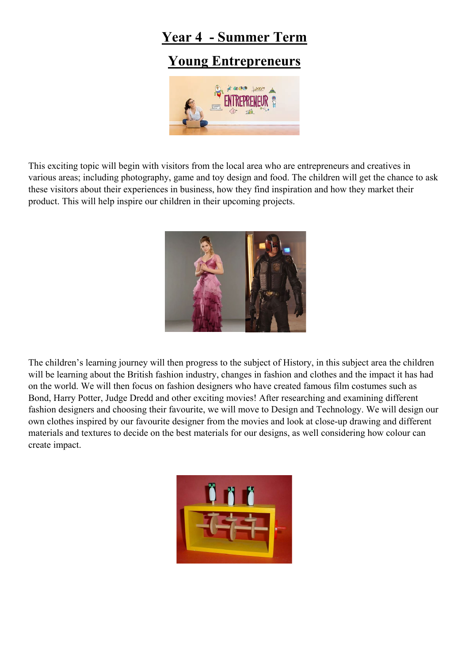## **Year 4 - Summer Term**

## **Young Entrepreneurs**



This exciting topic will begin with visitors from the local area who are entrepreneurs and creatives in various areas; including photography, game and toy design and food. The children will get the chance to ask these visitors about their experiences in business, how they find inspiration and how they market their product. This will help inspire our children in their upcoming projects.



The children's learning journey will then progress to the subject of History, in this subject area the children will be learning about the British fashion industry, changes in fashion and clothes and the impact it has had on the world. We will then focus on fashion designers who have created famous film costumes such as Bond, Harry Potter, Judge Dredd and other exciting movies! After researching and examining different fashion designers and choosing their favourite, we will move to Design and Technology. We will design our own clothes inspired by our favourite designer from the movies and look at close-up drawing and different materials and textures to decide on the best materials for our designs, as well considering how colour can create impact.